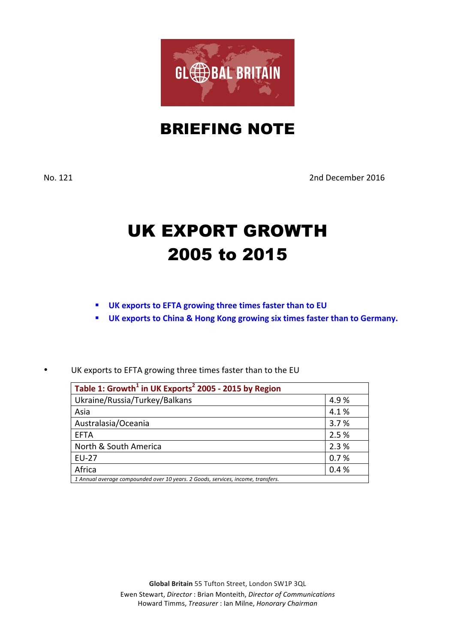

## BRIEFING NOTE

No. 121 2nd December 2016

## UK EXPORT GROWTH 2005 to 2015

- § **UK exports to EFTA growing three times faster than to EU**
- **UK exports to China & Hong Kong growing six times faster than to Germany.**
- UK exports to EFTA growing three times faster than to the EU

| Table 1: Growth <sup>1</sup> in UK Exports <sup>2</sup> 2005 - 2015 by Region    |       |  |
|----------------------------------------------------------------------------------|-------|--|
| Ukraine/Russia/Turkey/Balkans                                                    | 4.9%  |  |
| Asia                                                                             | 4.1%  |  |
| Australasia/Oceania                                                              | 3.7%  |  |
| <b>FFTA</b>                                                                      | 2.5 % |  |
| North & South America                                                            | 2.3%  |  |
| <b>EU-27</b>                                                                     | 0.7%  |  |
| Africa                                                                           | 0.4%  |  |
| 1 Annual average compounded over 10 years. 2 Goods, services, income, transfers. |       |  |